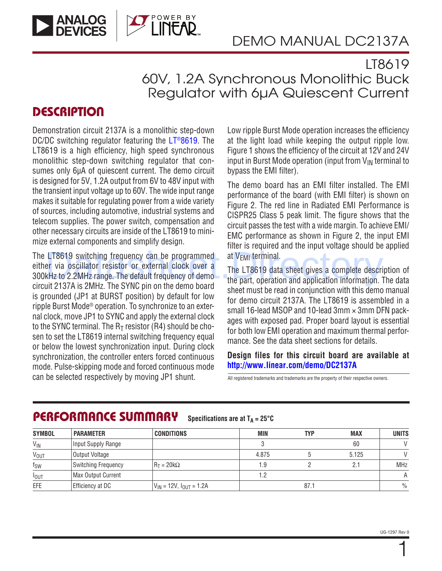

### LT8619 60V, 1.2A Synchronous Monolithic Buck Regulator with 6µA Quiescent Current

#### **DESCRIPTION**

Demonstration circuit 2137A is a monolithic step-down DC/DC switching regulator featuring the LT<sup>®</sup>8619. The LT8619 is a high efficiency, high speed synchronous monolithic step-down switching regulator that consumes only 6µA of quiescent current. The demo circuit is designed for 5V, 1.2A output from 6V to 48V input with the transient input voltage up to 60V. The wide input range makes it suitable for regulating power from a wide variety of sources, including automotive, industrial systems and telecom supplies. The power switch, compensation and other necessary circuits are inside of the LT8619 to minimize external components and simplify design.

The LT8619 switching frequency can be programmed either via oscillator resistor or external clock over a 300kHz to 2.2MHz range. The default frequency of demo circuit 2137A is 2MHz. The SYNC pin on the demo board is grounded (JP1 at BURST position) by default for low ripple Burst Mode® operation. To synchronize to an external clock, move JP1 to SYNC and apply the external clock to the SYNC terminal. The  $R<sub>T</sub>$  resistor (R4) should be chosen to set the LT8619 internal switching frequency equal or below the lowest synchronization input. During clock synchronization, the controller enters forced continuous mode. Pulse-skipping mode and forced continuous mode can be selected respectively by moving JP1 shunt. <br>All registered trademarks and trademarks are the property of their respective owners. LT8619 switching frequency can be programmed at  $V_{EMI}$  terminal.<br>
Ber via oscillator resistor or external clock over a The LT8619 data sheet gives a complete descri-<br>
We are the part, operation and application informatio

Low ripple Burst Mode operation increases the efficiency at the light load while keeping the output ripple low. Figure 1 shows the efficiency of the circuit at 12V and 24V input in Burst Mode operation (input from  $V_{IN}$  terminal to bypass the EMI filter).

The demo board has an EMI filter installed. The EMI performance of the board (with EMI filter) is shown on Figure 2. The red line in Radiated EMI Performance is CISPR25 Class 5 peak limit. The figure shows that the circuit passes the test with a wide margin. To achieve EMI/ EMC performance as shown in Figure 2, the input EMI filter is required and the input voltage should be applied at V<sub>FMI</sub> terminal.

The LT8619 data sheet gives a complete description of the part, operation and application information. The data sheet must be read in conjunction with this demo manual for demo circuit 2137A. The LT8619 is assembled in a small 16-lead MSOP and 10-lead 3mm × 3mm DFN packages with exposed pad. Proper board layout is essential for both low EMI operation and maximum thermal performance. See the data sheet sections for details.

**Design files for this circuit board are available at <http://www.linear.com/demo/DC2137A>**

| <b>SYMBOL</b>          | <b>PARAMETER</b>    | <b>CONDITIONS</b>                 | MIN   | TYP  | <b>MAX</b> | <b>UNITS</b>  |
|------------------------|---------------------|-----------------------------------|-------|------|------------|---------------|
| $V_{IN}$               | Input Supply Range  |                                   |       |      | 60         | $\vee$        |
| <b>V<sub>OUT</sub></b> | Output Voltage      |                                   | 4.875 |      | 5.125      | V             |
| $f_{SW}$               | Switching Frequency | $R_T = 20k\Omega$                 | .9    |      | 2.1        | <b>MHz</b>    |
| $I_{\text{OUT}}$       | Max Output Current  |                                   | っ     |      |            | A             |
| EFE                    | Efficiency at DC    | $ V_{IN}$ = 12V, $I_{OUT}$ = 1.2A |       | 87.1 |            | $\frac{0}{0}$ |

#### PERFORMANCE SUMMARY **Specifications are at**  $T_A = 25^\circ C$

1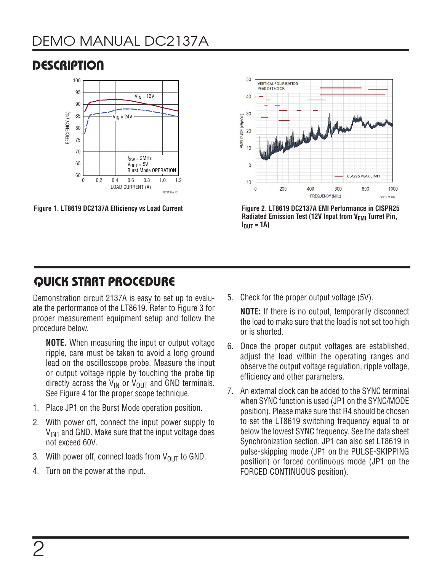# DEMO MANUAL DC2137A

**DESCRIPTION** 

#### 100 95  $V_{IN} = 12V$ 90 EFFICIENCY (%) EFFICIENCY (%) 85  $V_{IN} = 24V$ 80 75 70  $f<sub>SW</sub> = 2MHz$ 65  $V_{OUT} = 5V$ Burst Mode OPERATION 60 0 0.2 0.4 0.6 0.8 1.0 1.2 LOAD CURRENT (A) DC2137A F01

**Figure 1. LT8619 DC2137A Efficiency vs Load Current** 



**Figure 2. LT8619 DC2137A EMI Performance in CISPR25 Radiated Emission Test (12V Input from V<sub>EMI</sub> Turret Pin,**  $I_{OUT} = 1A$ 

# QUICK START PROCEDURE

Demonstration circuit 2137A is easy to set up to evaluate the performance of the LT8619. Refer to Figure 3 for proper measurement equipment setup and follow the procedure below.

**NOTE.** When measuring the input or output voltage ripple, care must be taken to avoid a long ground lead on the oscilloscope probe. Measure the input or output voltage ripple by touching the probe tip directly across the  $V_{IN}$  or  $V_{OUT}$  and GND terminals. See [Figure 4](#page-2-0) for the proper scope technique.

- 1. Place JP1 on the Burst Mode operation position.
- 2. With power off, connect the input power supply to  $V_{IM1}$  and GND. Make sure that the input voltage does not exceed 60V.
- 3. With power off, connect loads from  $V_{\text{OUT}}$  to GND.
- 4. Turn on the power at the input.

5. Check for the proper output voltage (5V).

**NOTE:** If there is no output, temporarily disconnect the load to make sure that the load is not set too high or is shorted.

- 6. Once the proper output voltages are established, adjust the load within the operating ranges and observe the output voltage regulation, ripple voltage, efficiency and other parameters.
- 7. An external clock can be added to the SYNC terminal when SYNC function is used (JP1 on the SYNC/MODE position). Please make sure that R4 should be chosen to set the LT8619 switching frequency equal to or below the lowest SYNC frequency. See the data sheet Synchronization section. JP1 can also set LT8619 in pulse-skipping mode (JP1 on the PULSE-SKIPPING position) or forced continuous mode (JP1 on the FORCED CONTINUOUS position).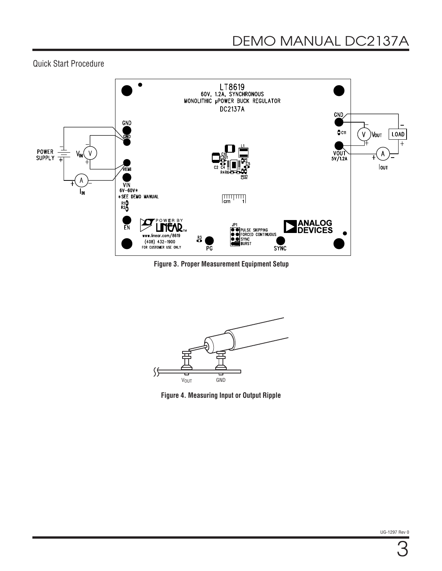Quick Start Procedure



**Figure 3. Proper Measurement Equipment Setup**



<span id="page-2-0"></span>**Figure 4. Measuring Input or Output Ripple**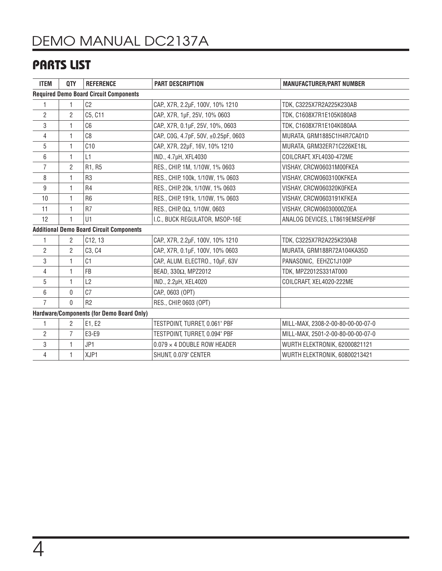# DEMO MANUAL DC2137A

## PARTS LIST

| <b>ITEM</b>                                     | QTY            | <b>REFERENCE</b> | <b>PART DESCRIPTION</b>             | <b>MANUFACTURER/PART NUMBER</b>   |  |  |  |  |
|-------------------------------------------------|----------------|------------------|-------------------------------------|-----------------------------------|--|--|--|--|
| <b>Required Demo Board Circuit Components</b>   |                |                  |                                     |                                   |  |  |  |  |
| 1                                               |                | C <sub>2</sub>   | CAP, X7R, 2.2µF, 100V, 10% 1210     | TDK, C3225X7R2A225K230AB          |  |  |  |  |
| $\overline{2}$                                  | $\overline{2}$ | C5, C11          | CAP., X7R, 1µF, 25V, 10% 0603       | TDK, C1608X7R1E105K080AB          |  |  |  |  |
| 3                                               | 1              | C6               | CAP, X7R, 0.1µF, 25V, 10%, 0603     | TDK, C1608X7R1E104K080AA          |  |  |  |  |
| 4                                               | 1              | C8               | CAP, COG, 4.7pF, 50V, ±0.25pF, 0603 | MURATA, GRM1885C1H4R7CA01D        |  |  |  |  |
| 5                                               | 1              | C10              | CAP., X7R, 22µF, 16V, 10% 1210      | MURATA, GRM32ER71C226KE18L        |  |  |  |  |
| 6                                               | 1              | L1               | IND., 4.7µH, XFL4030                | COILCRAFT, XFL4030-472ME          |  |  |  |  |
| $\overline{7}$                                  | $\overline{2}$ | R1, R5           | RES., CHIP, 1M, 1/10W, 1% 0603      | VISHAY, CRCW06031M00FKEA          |  |  |  |  |
| 8                                               | 1              | R <sub>3</sub>   | RES., CHIP, 100k, 1/10W, 1% 0603    | VISHAY, CRCW0603100KFKEA          |  |  |  |  |
| 9                                               | 1              | R <sub>4</sub>   | RES., CHIP, 20k, 1/10W, 1% 0603     | VISHAY, CRCW060320K0FKEA          |  |  |  |  |
| 10                                              | 1              | R <sub>6</sub>   | RES., CHIP, 191k, 1/10W, 1% 0603    | VISHAY, CRCW0603191KFKEA          |  |  |  |  |
| 11                                              | 1              | R <sub>7</sub>   | RES., CHIP, 0Ω, 1/10W, 0603         | VISHAY, CRCW06030000Z0EA          |  |  |  |  |
| 12                                              | 1              | U1               | I.C., BUCK REGULATOR, MSOP-16E      | ANALOG DEVICES, LT8619EMSE#PBF    |  |  |  |  |
| <b>Additional Demo Board Circuit Components</b> |                |                  |                                     |                                   |  |  |  |  |
| 1                                               | $\overline{2}$ | C12, 13          | CAP., X7R, 2.2µF, 100V, 10% 1210    | TDK, C3225X7R2A225K230AB          |  |  |  |  |
| $\overline{2}$                                  | $\overline{2}$ | C3, C4           | CAP, X7R, 0.1µF, 100V, 10% 0603     | MURATA, GRM188R72A104KA35D        |  |  |  |  |
| 3                                               | 1              | C1               | CAP., ALUM. ELECTRO., 10µF, 63V     | PANASONIC, EEHZC1J100P            |  |  |  |  |
| 4                                               | 1              | FB               | BEAD, 330Ω, MPZ2012                 | TDK, MPZ2012S331AT000             |  |  |  |  |
| 5                                               | 1              | L2               | IND., 2.2µH, XEL4020                | COILCRAFT, XEL4020-222ME          |  |  |  |  |
| 6                                               | 0              | C <sub>7</sub>   | CAP., 0603 (OPT)                    |                                   |  |  |  |  |
| $\overline{7}$                                  | $\Omega$       | R2               | RES., CHIP, 0603 (OPT)              |                                   |  |  |  |  |
| Hardware/Components (for Demo Board Only)       |                |                  |                                     |                                   |  |  |  |  |
| 1                                               | $\overline{2}$ | E1, E2           | TESTPOINT, TURRET, 0.061" PBF       | MILL-MAX, 2308-2-00-80-00-00-07-0 |  |  |  |  |
| $\overline{2}$                                  | $\overline{7}$ | E3-E9            | TESTPOINT, TURRET, 0.094" PBF       | MILL-MAX, 2501-2-00-80-00-00-07-0 |  |  |  |  |
| 3                                               | 1              | JP1              | $0.079 \times 4$ DOUBLE ROW HEADER  | WURTH ELEKTRONIK, 62000821121     |  |  |  |  |
| 4                                               | 1              | XJP1             | SHUNT, 0.079" CENTER                | WURTH ELEKTRONIK, 60800213421     |  |  |  |  |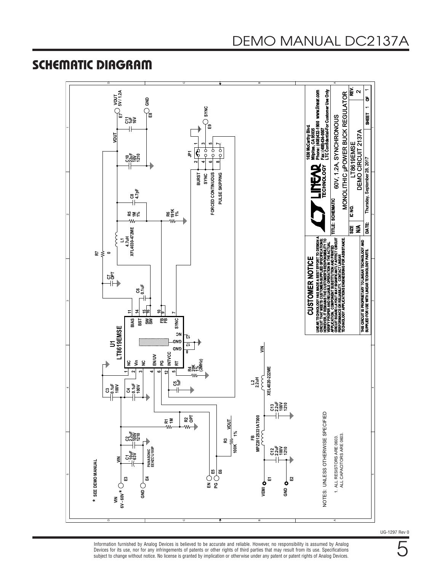# SCHEMATIC DIAGRAM

#### D C B A ALL DECICTOR ADD ANIO DE ASSESSER A A A CONFIDENCIAL AN ORIGINAL ANIO DE A A A COLOR ANIO DE A A A COLOR A A A COLOR ANIO DE A A A COLOR ANIO DE A A A COLOR ANIO DE A A COLOR ANIO DE A A COLOR ANIO DE A A COLOR ANIO DE A **IC NO.** I TRANSFORMED. Milpitas, CA 99035<br>Phone: (408)432-1900 www.linear.com<br>Fax: (408)434-0507<br>LTC Confidential-For Customer Use Only **LTC Confidential-For Customer Use Only** Æ **VOUT 5V / 1.2A www.linear.com** Thursday, September 28, 2017<br>
1 MONOLITHIC µPOWER BUCK REGULATOR MONOLITHIC µPOWER BUCK REGULATOR  $\sim$ ិ **SHEET**<br>第 ខ្ល **SYNC** 60V, 1.2A, SYNCHRONOUS 띑 **E7 E8** 60V. 1.2A, SYNCHRONOUS 호북중 **Phone: (408)432-1900 E9 1630 McCarthy Blvd. Milpitas, CA 95035 Fax: (408)434-0507** DEMO CIRCUIT 2137A<br>Thursday, September 28, 2017 DEMO CIRCUIT 2137A **VOUT IG30 McCarthy** LT8619EMSE LT8619EMSE **1357**t<br>P ०<br>२  $|\epsilon\>$ **JP1** Ç <u>ទង្គុទ្ធខ្</u>  $\sim$ **46835 TECHNOLOGY ECHNOLOGY BURST SYNC** FORCED CONTINUOUS PULSE SKIPPING **FORCED CONTINUOUS PULSE SKIPPING C8 4.7pF BEST EFFORT TO DESIGNAL**<br>MER'S RESPONSIBILITY OF REAL PROPERTY AND REAL PROPERTY OF REAL PROPERTY OF REAL PROPERTY OF REAL PROPERTY OF R<br>FIRMINAN AND FIELAND TITLE: SCHEIMATIC<br>BIFAANTLY AFFECT CIRCUIT **SCHEMATIC** ∣ତୁ<br>ଜ **R6 191K 1% R5 1M 1%**  $\sim$  $\sim$ w, W **DATE: 4.7uH**<br>**XFL4030-472ME SIZE N/A XFL4030-472ME L1 LINEAR TECHNOLOGY HAS MADE A BEST EFFORT TO DESIGN A CIRCUIT BOARD LAYOUT MAY SIGNIFICANTLY AFFECT CIRCUIT TECHNOLOGY APPLICATIONS ENGINEERING FOR ASSISTANCE. CIRCUIT THAT MEETS CUSTOMER-SUPPLIED SPECIFICATIONS; HOWEVER, IT REMAINS THE CUSTOMER'S RESPONSIBILITY TO** NG FOR ASSISTANCE **QMA THIS CIRCUIT IS PROPRIETARY TO LINEAR TECHNOLOGY AND VERIFY PROPER AND RELIABLE OPERATION IN THE ACTUAL APPLICATION. COMPONENT SUBSTITUTION AND PRINTED** THIS CIRCUIT IS PROPRIETARY TO LINEAR TECHNOLOGY<br>SUPPLIED FOR USE WITH LINEAR TECHNOLOGY PARTS. **SUPPLIED FOR USE WITH LINEAR TECHNOLOGY PARTS. R7** 3 **0PERFORMANCE OR RELIABILITY. CONTACT LINEAR CUSTOMER NOTICE CUSTOMER NOTICE C7 OPT** TECHNOLOGY HAS MADE /<br>[ THAT MEETS CUSTOMER-<br>ER, IT REMAINS THE CUSTO **C6 0.1uF** IRCUIT BOARD LAYOUT MAY<br>ERFORMANCE OR RELIABILIT<br>ECHNOLOGY APPLICATIONS **LINEAR TECHNOL**<br>CIRCUIT THAT ME<br>HOWEVER, IT REN<br>VERIFY PROPER<br>VERIFY PROPARD L<br>CIRCUIT BOARD L **FB 9 FB 10 SW 16 SW 15 SYNC 7 BIAS 11 BST 14** LT8619EMSE<br>LT8619EMSE **LT8619EMSE NC <sup>13</sup> GND 17 GND <sup>8</sup>**  $\leq$ **INTVCC EN/UV Vin PG RT R4 20K 1% (2MHz)**  $\mathbf{r}$ **NC** XEL4020-222ME **XEL4020-222ME 12**  $\sim$ **34651**w, Ę  $\vec{z}$ 2 ხე‡ **0.1uF**  $3\frac{1}{2}$ ខ្ទិ **100V C4** 44**C13 2.2uF 100V 1210** NOTES: UNLESS OTHERWISE SPECIFIED NOTES: UNLESS OTHERWISE SPECIFIED **R2 OPT** FB<br>MPZ2012S331AT000 **MPZ2012S331AT000 VOUTR1 1M** w-╢ **R3**<br>-W 1% **22**<br>បង្កទីខ្ច **100K 1%** ALL RESISTORS ARE 0603.<br>ALL CAPACITORS ARE 0603. ALL CAPACITORS ARE 0603. 1. ALL RESISTORS ARE 0603. 00K **C12 2.2uF 100V 1210 PANASONIC<br>EEHZC1J100P EEHZC1J100P PANASONIC C1 10uF 63V VIN** \* SEE DEMO MANUAL **SEE DEMO MANUAL E5 E6 E2** ທ ທ **E3 E4 E1 VEMI GND EN PG GND**  $\div$ **\*6V - 60V**  $\leq$

UG-1297 Rev 0

Information furnished by Analog Devices is believed to be accurate and reliable. However, no responsibility is assumed by Analog Devices for its use, nor for any infringements of patents or other rights of third parties that may result from its use. Specifications subject to change without notice. No license is granted by implication or otherwise under any patent or patent rights of Analog Devices.

5